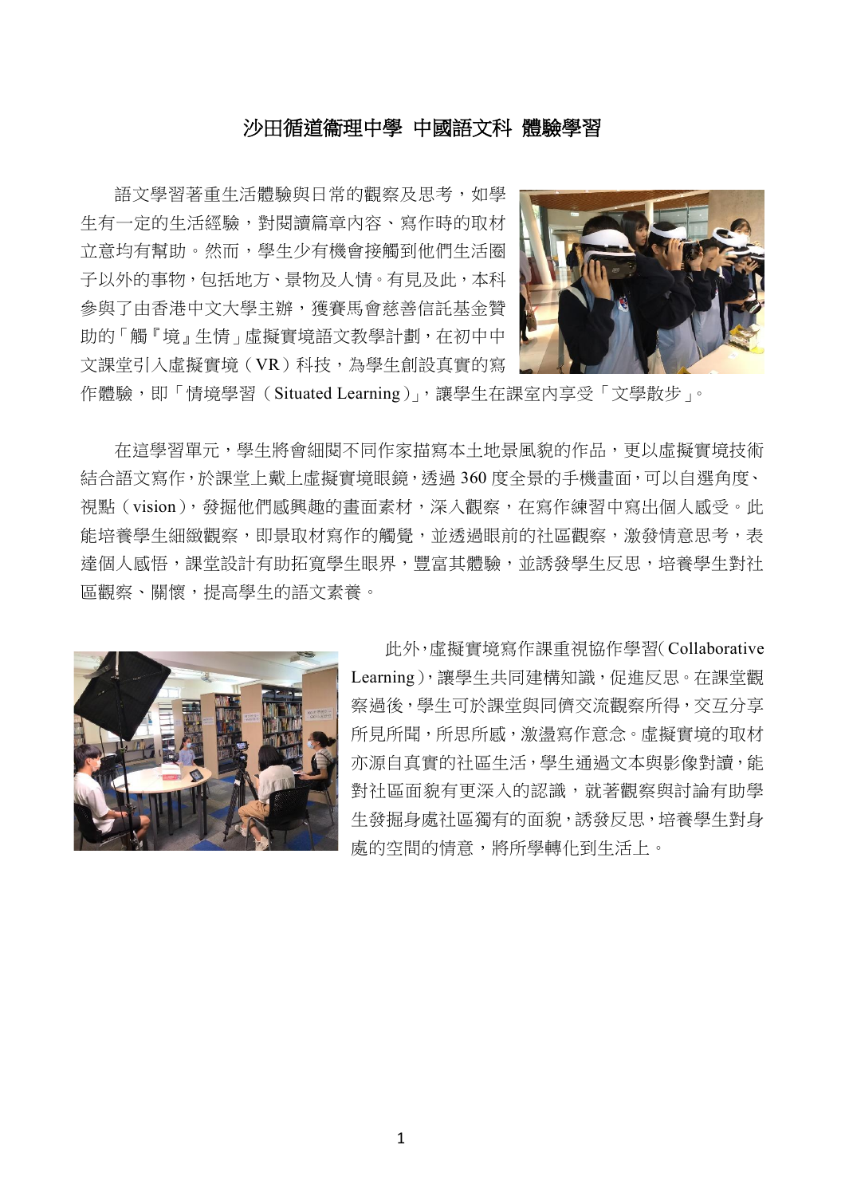## 沙田循道衞理中學 中國語文科 體驗學習

語文學習著重生活體驗與日常的觀察及思考,如學 生有一定的生活經驗,對閱讀篇章內容、寫作時的取材 立意均有幫助。然而,學生少有機會接觸到他們生活圈 子以外的事物,包括地方、景物及人情。有見及此,本科 參與了由香港中文大學主辦,獲賽馬會慈善信託基金贊 助的「觸『境』生情」虛擬實境語文教學計劃,在初中中 文課堂引入虛擬實境(VR)科技,為學生創設真實的寫



作體驗,即「情境學習 (Situated Learning)」,讓學生在課室內享受「文學散步」。

在這學習單元,學生將會細閱不同作家描寫本土地景風貌的作品,更以虛擬實境技術 結合語文寫作,於課堂上戴上虛擬實境眼鏡,透過 360 度全景的手機畫面,可以自選角度、 視點(vision),發掘他們感興趣的畫面素材,深入觀察,在寫作練習中寫出個人感受。此 能培養學生細緻觀察,即景取材寫作的觸覺,並透過眼前的社區觀察,激發情意思考,表 達個人感悟,課堂設計有助拓寬學生眼界,豐富其體驗,並誘發學生反思,培養學生對社 區觀察、關懷,提高學生的語文素養。



此外,虛擬實境寫作課重視協作學習(Collaborative Learning),讓學生共同建構知識,促進反思。在課堂觀 察過後,學生可於課堂與同儕交流觀察所得,交互分享 所見所聞,所思所感,激盪寫作意念。虛擬實境的取材 亦源自真實的社區生活,學生通過文本與影像對讀,能 對社區面貌有更深入的認識,就著觀察與討論有助學 生發掘身處社區獨有的面貌,誘發反思,培養學生對身 處的空間的情意,將所學轉化到生活上。